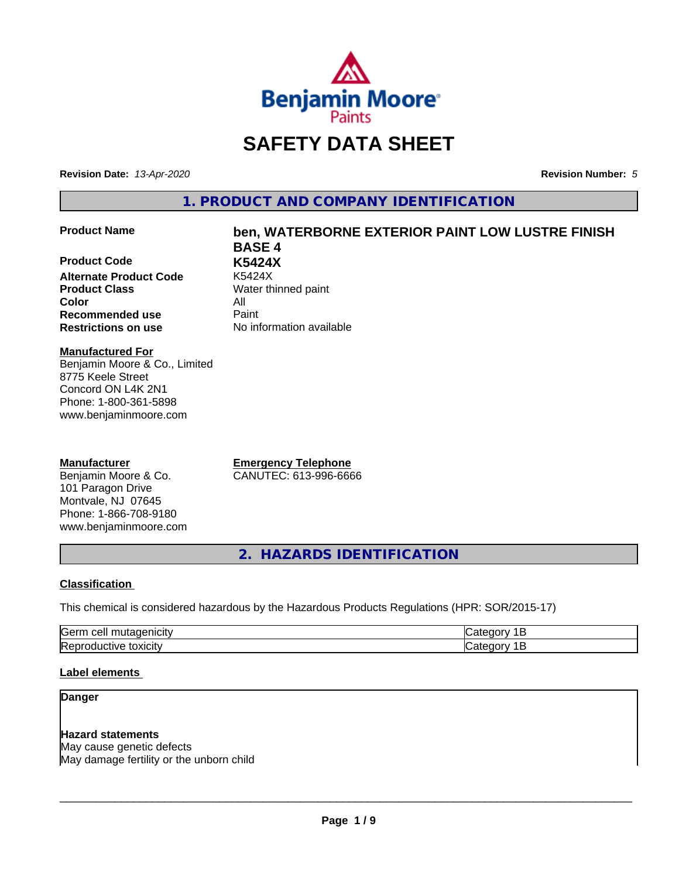

# **SAFETY DATA SHEET**

**Revision Date:** *13-Apr-2020* **Revision Number:** *5*

**1. PRODUCT AND COMPANY IDENTIFICATION**

### **Product Name ben, WATERBORNE EXTERIOR PAINT LOW LUSTRE FINISH**

**Product Code K5424X Alternate Product Code Product Class** Water thinned paint **Color** All **Recommended use** Paint **Restrictions on use** No information available

**BASE 4**

**Manufactured For** Benjamin Moore & Co., Limited 8775 Keele Street Concord ON L4K 2N1 Phone: 1-800-361-5898 www.benjaminmoore.com

### **Manufacturer**

Benjamin Moore & Co. 101 Paragon Drive Montvale, NJ 07645 Phone: 1-866-708-9180 www.benjaminmoore.com

**Emergency Telephone** CANUTEC: 613-996-6666

**2. HAZARDS IDENTIFICATION**

### **Classification**

This chemical is considered hazardous by the Hazardous Products Regulations (HPR: SOR/2015-17)

| <b>Germ</b><br>$\sim$<br><u>_</u><br>. . |  |
|------------------------------------------|--|
| <b>IRet</b><br>*OXICIty<br>174<br>-10    |  |

### **Label elements**

### **Danger**

## **Hazard statements**

May cause genetic defects May damage fertility or the unborn child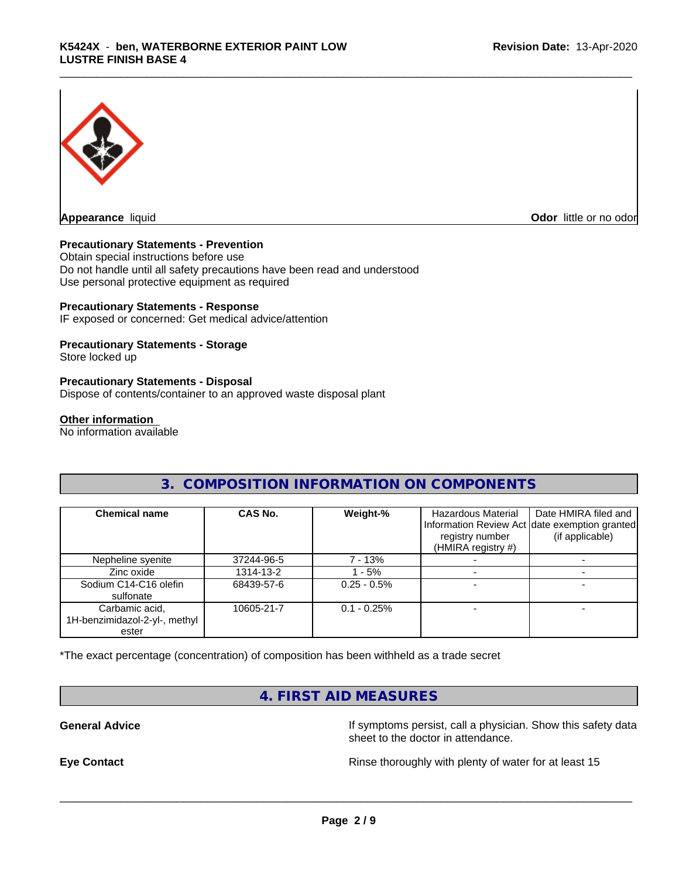

**Odor** little or no odor

### **Precautionary Statements - Prevention**

Obtain special instructions before use Do not handle until all safety precautions have been read and understood Use personal protective equipment as required

### **Precautionary Statements - Response**

IF exposed or concerned: Get medical advice/attention

### **Precautionary Statements - Storage**

Store locked up

### **Precautionary Statements - Disposal**

Dispose of contents/container to an approved waste disposal plant

### **Other information**

No information available

## **3. COMPOSITION INFORMATION ON COMPONENTS**

| <b>Chemical name</b>                                     | CAS No.    | Weight-%      | Hazardous Material<br>registry number<br>(HMIRA registry #) | Date HMIRA filed and<br>Information Review Act date exemption granted<br>(if applicable) |
|----------------------------------------------------------|------------|---------------|-------------------------------------------------------------|------------------------------------------------------------------------------------------|
| Nepheline syenite                                        | 37244-96-5 | 7 - 13%       |                                                             |                                                                                          |
| Zinc oxide                                               | 1314-13-2  | - 5%          |                                                             |                                                                                          |
| Sodium C14-C16 olefin<br>sulfonate                       | 68439-57-6 | $0.25 - 0.5%$ |                                                             |                                                                                          |
| Carbamic acid,<br>1H-benzimidazol-2-yl-, methyl<br>ester | 10605-21-7 | $0.1 - 0.25%$ |                                                             |                                                                                          |

\*The exact percentage (concentration) of composition has been withheld as a trade secret

## **4. FIRST AID MEASURES**

**General Advice If** symptoms persist, call a physician. Show this safety data sheet to the doctor in attendance.

**Eye Contact Exercise 20 All 20 All 20 All 20 All 20 All 20 All 20 All 20 All 20 All 20 All 20 All 20 All 20 All 20 All 20 All 20 All 20 All 20 All 20 All 20 All 20 All 20 All 20 All 20 All 20 All 20 All 20 All 20 All 20**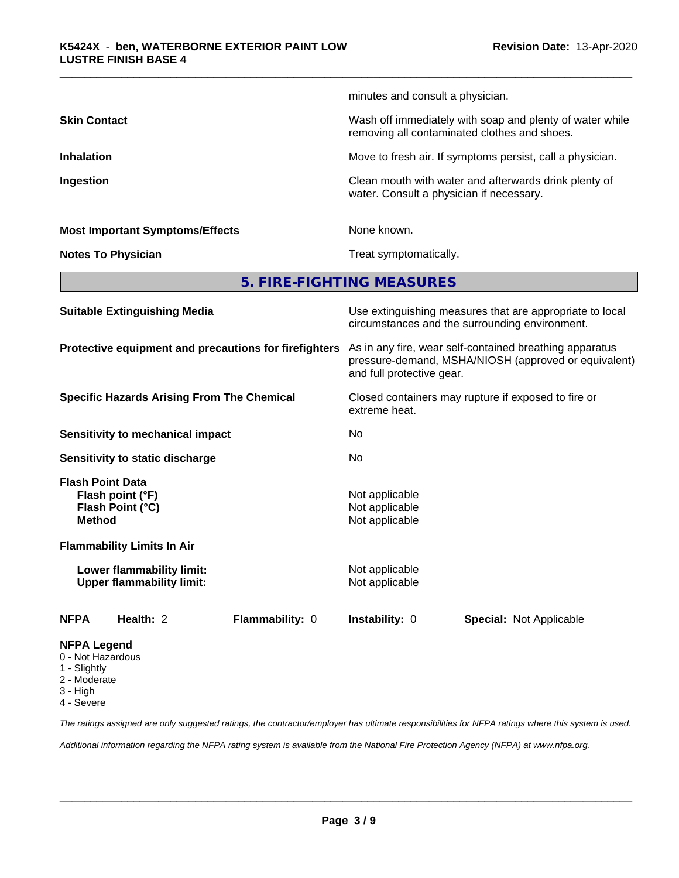|                                                                 | minutes and consult a physician.                                                                                                             |
|-----------------------------------------------------------------|----------------------------------------------------------------------------------------------------------------------------------------------|
| <b>Skin Contact</b>                                             | Wash off immediately with soap and plenty of water while<br>removing all contaminated clothes and shoes.                                     |
| <b>Inhalation</b>                                               | Move to fresh air. If symptoms persist, call a physician.                                                                                    |
| Ingestion                                                       | Clean mouth with water and afterwards drink plenty of<br>water. Consult a physician if necessary.                                            |
| <b>Most Important Symptoms/Effects</b>                          | None known.                                                                                                                                  |
| <b>Notes To Physician</b>                                       | Treat symptomatically.                                                                                                                       |
|                                                                 | 5. FIRE-FIGHTING MEASURES                                                                                                                    |
| <b>Suitable Extinguishing Media</b>                             | Use extinguishing measures that are appropriate to local<br>circumstances and the surrounding environment.                                   |
| Protective equipment and precautions for firefighters           | As in any fire, wear self-contained breathing apparatus<br>pressure-demand, MSHA/NIOSH (approved or equivalent)<br>and full protective gear. |
| <b>Specific Hazards Arising From The Chemical</b>               | Closed containers may rupture if exposed to fire or<br>extreme heat.                                                                         |
| <b>Sensitivity to mechanical impact</b>                         | No                                                                                                                                           |
| Sensitivity to static discharge                                 | No                                                                                                                                           |
| <b>Flash Point Data</b><br>Flash point (°F)<br>Flash Point (°C) | Not applicable<br>Not applicable                                                                                                             |

# **NFPA Legend**

0 - Not Hazardous

**Flammability Limits In Air**

- 1 Slightly
- 2 Moderate
- 3 High
- 4 Severe

*The ratings assigned are only suggested ratings, the contractor/employer has ultimate responsibilities for NFPA ratings where this system is used.*

*Additional information regarding the NFPA rating system is available from the National Fire Protection Agency (NFPA) at www.nfpa.org.*

**NFPA Health:** 2 **Flammability:** 0 **Instability:** 0 **Special:** Not Applicable

**Method** Not applicable

**Lower flammability limit:** Not applicable **Upper flammability limit:** Not applicable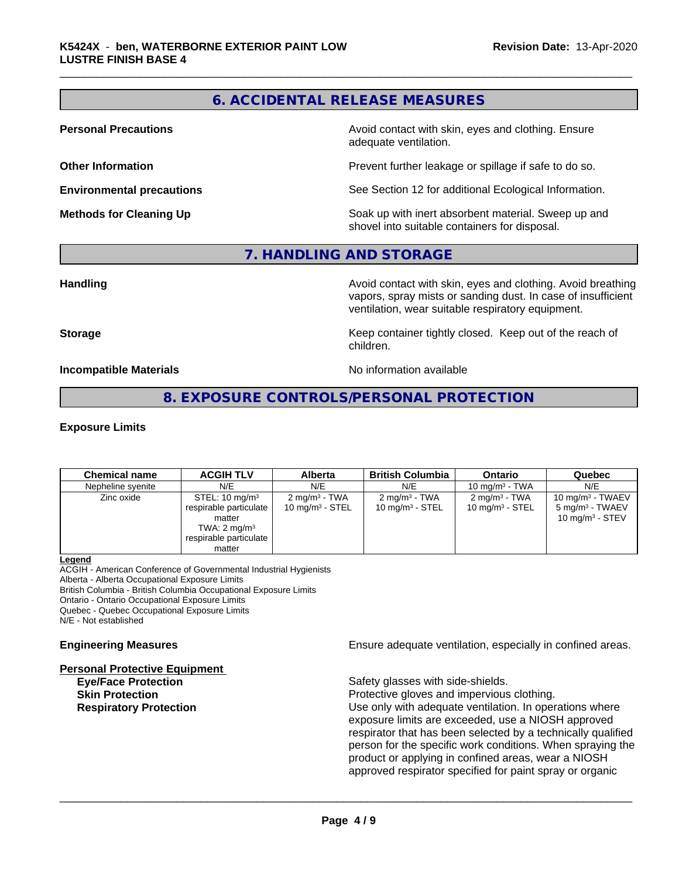# **6. ACCIDENTAL RELEASE MEASURES**

**Personal Precautions Avoid contact with skin, eyes and clothing. Ensure** Avoid contact with skin, eyes and clothing. Ensure adequate ventilation.

**Other Information Determines According to the Prevent further leakage or spillage if safe to do so.** 

**Environmental precautions** See Section 12 for additional Ecological Information.

**Methods for Cleaning Up Example 20 Soak** up with inert absorbent material. Sweep up and shovel into suitable containers for disposal.

### **7. HANDLING AND STORAGE**

**Handling Handling Avoid contact with skin, eyes and clothing. Avoid breathing** vapors, spray mists or sanding dust. In case of insufficient ventilation, wear suitable respiratory equipment.

**Storage Keep container tightly closed. Keep out of the reach of Keep** container tightly closed. Keep out of the reach of children.

**Incompatible Materials Incompatible Materials No information available** 

### **8. EXPOSURE CONTROLS/PERSONAL PROTECTION**

### **Exposure Limits**

| <b>Chemical name</b> | <b>ACGIH TLV</b>                                                                                                             | <b>Alberta</b>                                         | <b>British Columbia</b>                                | <b>Ontario</b>                                 | Quebec                                                                          |
|----------------------|------------------------------------------------------------------------------------------------------------------------------|--------------------------------------------------------|--------------------------------------------------------|------------------------------------------------|---------------------------------------------------------------------------------|
| Nepheline syenite    | N/E                                                                                                                          | N/E                                                    | N/E                                                    | 10 mg/m $3$ - TWA                              | N/E                                                                             |
| Zinc oxide           | STEL: $10 \text{ mg/m}^3$<br>respirable particulate<br>matter<br>TWA: $2 \text{ mg/m}^3$<br>respirable particulate<br>matter | $2 \text{ mg/m}^3$ - TWA<br>$10 \text{ mg/m}^3$ - STEL | $2 \text{ mg/m}^3$ - TWA<br>$10 \text{ mg/m}^3$ - STEL | $2 \text{ mg/m}^3$ - TWA<br>10 mg/m $3 -$ STEL | $10 \text{ mg/m}^3$ - TWAEV<br>5 mg/m <sup>3</sup> - TWAEV<br>10 $mq/m3$ - STEV |

### **Legend**

ACGIH - American Conference of Governmental Industrial Hygienists Alberta - Alberta Occupational Exposure Limits

British Columbia - British Columbia Occupational Exposure Limits

Ontario - Ontario Occupational Exposure Limits

Quebec - Quebec Occupational Exposure Limits

N/E - Not established

### **Personal Protective Equipment**

**Eye/Face Protection**<br> **Safety glasses with side-shields.**<br> **Skin Protection** 

**Engineering Measures Ensure adequate ventilation, especially in confined areas.** 

 $\overline{\phantom{a}}$  ,  $\overline{\phantom{a}}$  ,  $\overline{\phantom{a}}$  ,  $\overline{\phantom{a}}$  ,  $\overline{\phantom{a}}$  ,  $\overline{\phantom{a}}$  ,  $\overline{\phantom{a}}$  ,  $\overline{\phantom{a}}$  ,  $\overline{\phantom{a}}$  ,  $\overline{\phantom{a}}$  ,  $\overline{\phantom{a}}$  ,  $\overline{\phantom{a}}$  ,  $\overline{\phantom{a}}$  ,  $\overline{\phantom{a}}$  ,  $\overline{\phantom{a}}$  ,  $\overline{\phantom{a}}$ 

Protective gloves and impervious clothing. **Respiratory Protection Exercise 2018** Use only with adequate ventilation. In operations where exposure limits are exceeded, use a NIOSH approved respirator that has been selected by a technically qualified person for the specific work conditions. When spraying the product or applying in confined areas, wear a NIOSH approved respirator specified for paint spray or organic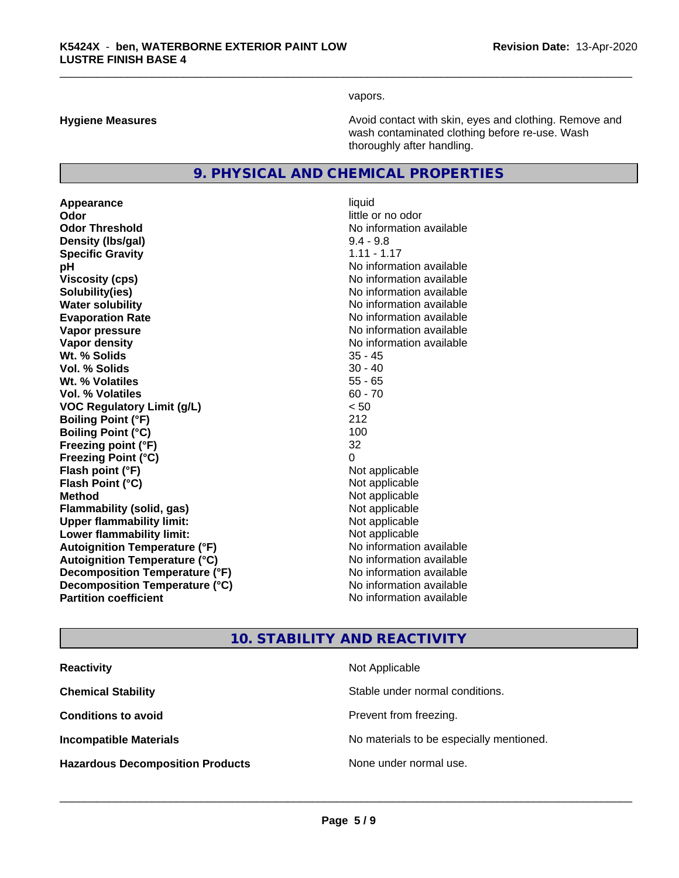vapors.

**Hygiene Measures Avoid contact with skin, eyes and clothing. Remove and Avoid contact with skin, eyes and clothing. Remove and Avoid contact with skin, eyes and clothing. Remove and** wash contaminated clothing before re-use. Wash thoroughly after handling.

### **9. PHYSICAL AND CHEMICAL PROPERTIES**

**Appearance** liquid **Odor** little or no odor **Odor Threshold** No information available **Density (lbs/gal)** 9.4 - 9.8<br> **Specific Gravity** 1.11 - 1.17 **Specific Gravity pH pH**  $\blacksquare$ **Viscosity (cps)**  $\blacksquare$  No information available<br> **Solubility (ies)** Solubility (ies) **Water solubility** No information available **Evaporation Rate No information available No information available Vapor pressure** No information available **No information available Vapor density** No information available values and values of  $\alpha$  No information available **Wt. % Solids** 35 - 45 **Vol. % Solids Wt. % Volatiles** 55 - 65 **Vol. % Volatiles** 60 - 70 **VOC Regulatory Limit (g/L)** < 50 **Boiling Point (°F)** 212 **Boiling Point**  $(^{\circ}C)$  100 **Freezing point (°F)** 32 **Freezing Point (°C)** 0 **Flash point (°F)** Not applicable **Flash Point (°C)** Not applicable **Method** Not applicable<br> **Flammability (solid, gas)** Not applicable Not applicable **Flammability** (solid, gas) **Upper flammability limit:** Not applicable **Lower flammability limit:**<br> **Autoignition Temperature (°F)** Not applicable havailable **Autoignition Temperature (°F) Autoignition Temperature (°C)** No information available **Decomposition Temperature (°F)** No information available **Decomposition Temperature (°C)**<br> **Partition coefficient**<br> **Partition coefficient**<br> **No** information available

# **Solubility(ies)** No information available **No information available**

# **10. STABILITY AND REACTIVITY**

| <b>Reactivity</b>                       | Not Applicable                           |
|-----------------------------------------|------------------------------------------|
| <b>Chemical Stability</b>               | Stable under normal conditions.          |
| <b>Conditions to avoid</b>              | Prevent from freezing.                   |
| <b>Incompatible Materials</b>           | No materials to be especially mentioned. |
| <b>Hazardous Decomposition Products</b> | None under normal use.                   |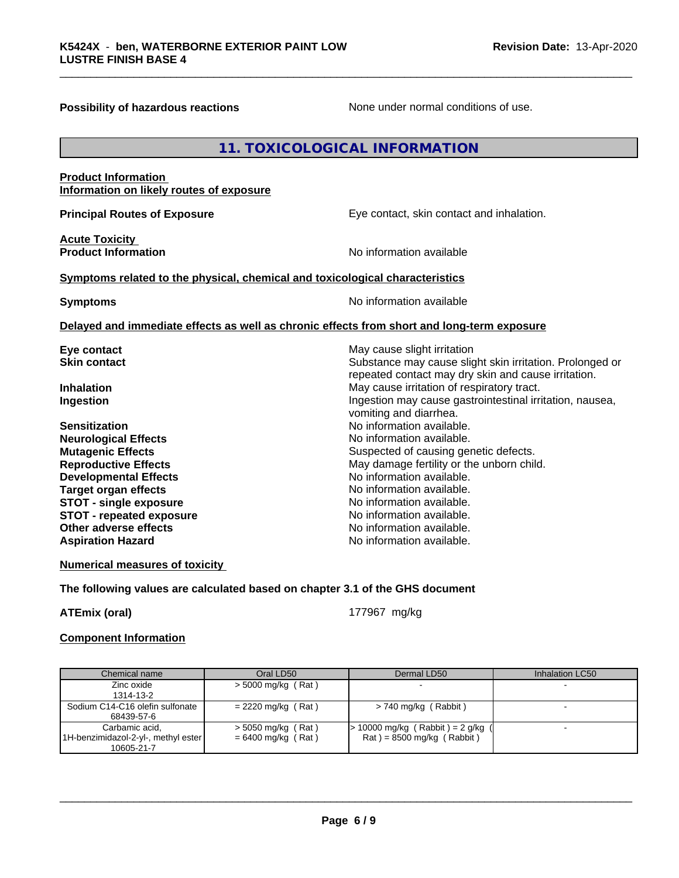**Possibility of hazardous reactions** None under normal conditions of use.

## **11. TOXICOLOGICAL INFORMATION**

### **Product Information Information on likely routes of exposure**

**Acute Toxicity** 

**Principal Routes of Exposure Exposure** Eye contact, skin contact and inhalation.

**Product Information Information Information No information available** 

### **<u>Symptoms related to the physical, chemical and toxicological characteristics</u>**

**Symptoms** No information available

### **Delayed and immediate effects as well as chronic effects from short and long-term exposure**

| Eye contact                     | May cause slight irritation                              |
|---------------------------------|----------------------------------------------------------|
| <b>Skin contact</b>             | Substance may cause slight skin irritation. Prolonged or |
|                                 | repeated contact may dry skin and cause irritation.      |
| <b>Inhalation</b>               | May cause irritation of respiratory tract.               |
| Ingestion                       | Ingestion may cause gastrointestinal irritation, nausea, |
|                                 | vomiting and diarrhea.                                   |
| <b>Sensitization</b>            | No information available.                                |
| <b>Neurological Effects</b>     | No information available.                                |
| <b>Mutagenic Effects</b>        | Suspected of causing genetic defects.                    |
| <b>Reproductive Effects</b>     | May damage fertility or the unborn child.                |
| <b>Developmental Effects</b>    | No information available.                                |
| Target organ effects            | No information available.                                |
| <b>STOT - single exposure</b>   | No information available.                                |
| <b>STOT - repeated exposure</b> | No information available.                                |
| Other adverse effects           | No information available.                                |
| <b>Aspiration Hazard</b>        | No information available.                                |
|                                 |                                                          |

**Numerical measures of toxicity**

**The following values are calculated based on chapter 3.1 of the GHS document**

**ATEmix (oral)** 177967 mg/kg

 $\overline{\phantom{a}}$  ,  $\overline{\phantom{a}}$  ,  $\overline{\phantom{a}}$  ,  $\overline{\phantom{a}}$  ,  $\overline{\phantom{a}}$  ,  $\overline{\phantom{a}}$  ,  $\overline{\phantom{a}}$  ,  $\overline{\phantom{a}}$  ,  $\overline{\phantom{a}}$  ,  $\overline{\phantom{a}}$  ,  $\overline{\phantom{a}}$  ,  $\overline{\phantom{a}}$  ,  $\overline{\phantom{a}}$  ,  $\overline{\phantom{a}}$  ,  $\overline{\phantom{a}}$  ,  $\overline{\phantom{a}}$ 

### **Component Information**

| Chemical name                                                       | Oral LD50                                    | Dermal LD50                                                        | Inhalation LC50 |
|---------------------------------------------------------------------|----------------------------------------------|--------------------------------------------------------------------|-----------------|
| Zinc oxide<br>1314-13-2                                             | $>$ 5000 mg/kg (Rat)                         |                                                                    |                 |
| Sodium C14-C16 olefin sulfonate<br>68439-57-6                       | $= 2220$ mg/kg (Rat)                         | $> 740$ mg/kg (Rabbit)                                             |                 |
| Carbamic acid,<br>1H-benzimidazol-2-yl-, methyl ester<br>10605-21-7 | $>$ 5050 mg/kg (Rat)<br>$= 6400$ mg/kg (Rat) | $> 10000$ mg/kg (Rabbit) = 2 g/kg (<br>$Rat$ = 8500 mg/kg (Rabbit) |                 |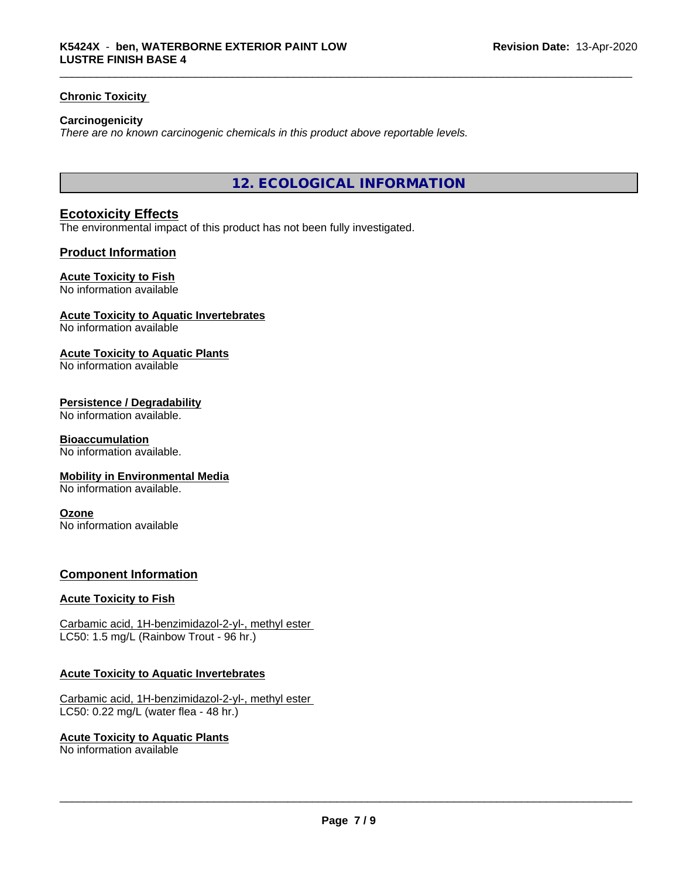### **Chronic Toxicity**

### **Carcinogenicity**

*There are no known carcinogenic chemicals in this product above reportable levels.*

**12. ECOLOGICAL INFORMATION**

### **Ecotoxicity Effects**

The environmental impact of this product has not been fully investigated.

### **Product Information**

### **Acute Toxicity to Fish**

No information available

### **Acute Toxicity to Aquatic Invertebrates**

No information available

### **Acute Toxicity to Aquatic Plants**

No information available

### **Persistence / Degradability**

No information available.

### **Bioaccumulation**

No information available.

### **Mobility in Environmental Media**

No information available.

### **Ozone**

No information available

### **Component Information**

### **Acute Toxicity to Fish**

Carbamic acid, 1H-benzimidazol-2-yl-, methyl ester LC50: 1.5 mg/L (Rainbow Trout - 96 hr.)

### **Acute Toxicity to Aquatic Invertebrates**

Carbamic acid, 1H-benzimidazol-2-yl-, methyl ester LC50: 0.22 mg/L (water flea - 48 hr.)

### **Acute Toxicity to Aquatic Plants**

No information available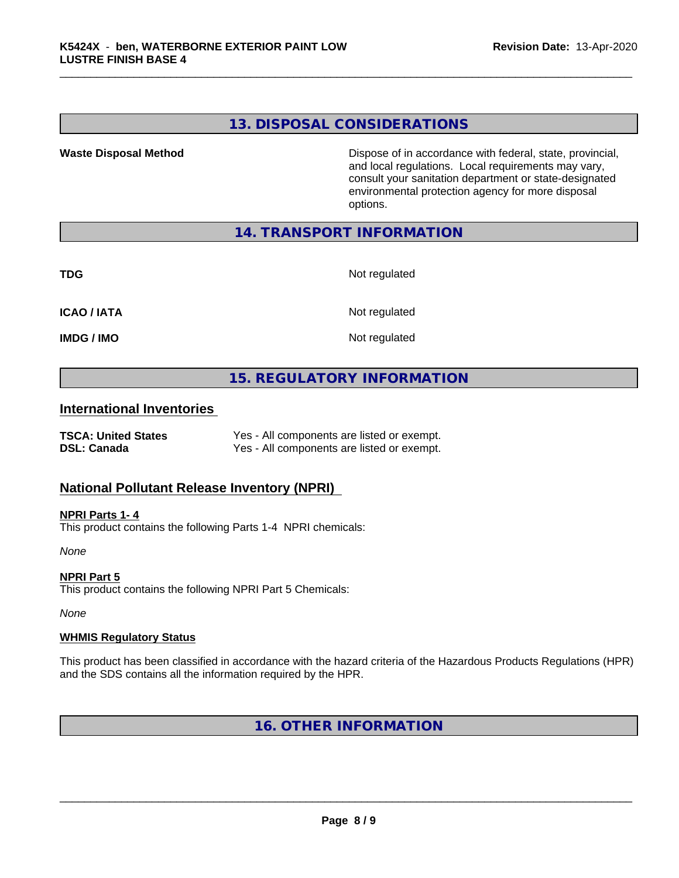### **13. DISPOSAL CONSIDERATIONS**

**Waste Disposal Method Dispose of in accordance with federal, state, provincial,** and local regulations. Local requirements may vary, consult your sanitation department or state-designated environmental protection agency for more disposal options.

### **14. TRANSPORT INFORMATION**

**TDG** Not regulated

**ICAO / IATA** Not regulated

**IMDG / IMO** Not regulated

### **15. REGULATORY INFORMATION**

### **International Inventories**

**TSCA: United States** Yes - All components are listed or exempt. **DSL: Canada** Yes - All components are listed or exempt.

### **National Pollutant Release Inventory (NPRI)**

**NPRI Parts 1- 4** This product contains the following Parts 1-4 NPRI chemicals:

*None*

**NPRI Part 5** This product contains the following NPRI Part 5 Chemicals:

*None*

### **WHMIS Regulatory Status**

This product has been classified in accordance with the hazard criteria of the Hazardous Products Regulations (HPR) and the SDS contains all the information required by the HPR.

**16. OTHER INFORMATION**